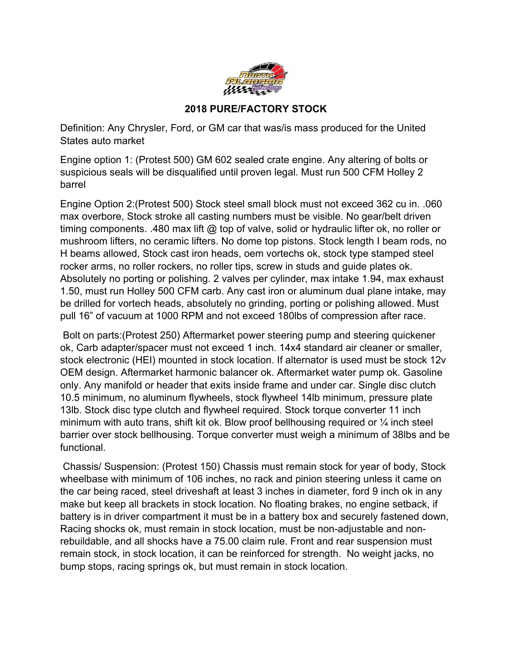

## **2018 PURE/FACTORY STOCK**

Definition: Any Chrysler, Ford, or GM car that was/is mass produced for the United States auto market

Engine option 1: (Protest 500) GM 602 sealed crate engine. Any altering of bolts or suspicious seals will be disqualified until proven legal. Must run 500 CFM Holley 2 barrel

Engine Option 2:(Protest 500) Stock steel small block must not exceed 362 cu in. .060 max overbore, Stock stroke all casting numbers must be visible. No gear/belt driven timing components. .480 max lift  $@$  top of valve, solid or hydraulic lifter ok, no roller or mushroom lifters, no ceramic lifters. No dome top pistons. Stock length I beam rods, no H beams allowed, Stock cast iron heads, oem vortechs ok, stock type stamped steel rocker arms, no roller rockers, no roller tips, screw in studs and guide plates ok. Absolutely no porting or polishing. 2 valves per cylinder, max intake 1.94, max exhaust 1.50, must run Holley 500 CFM carb. Any cast iron or aluminum dual plane intake, may be drilled for vortech heads, absolutely no grinding, porting or polishing allowed. Must pull 16" of vacuum at 1000 RPM and not exceed 180lbs of compression after race.

 Bolt on parts:(Protest 250) Aftermarket power steering pump and steering quickener ok, Carb adapter/spacer must not exceed 1 inch. 14x4 standard air cleaner or smaller, stock electronic (HEI) mounted in stock location. If alternator is used must be stock 12v OEM design. Aftermarket harmonic balancer ok. Aftermarket water pump ok. Gasoline only. Any manifold or header that exits inside frame and under car. Single disc clutch 10.5 minimum, no aluminum flywheels, stock flywheel 14lb minimum, pressure plate 13lb. Stock disc type clutch and flywheel required. Stock torque converter 11 inch minimum with auto trans, shift kit ok. Blow proof bellhousing required or  $\frac{1}{4}$  inch steel barrier over stock bellhousing. Torque converter must weigh a minimum of 38lbs and be functional.

 Chassis/ Suspension: (Protest 150) Chassis must remain stock for year of body, Stock wheelbase with minimum of 106 inches, no rack and pinion steering unless it came on the car being raced, steel driveshaft at least 3 inches in diameter, ford 9 inch ok in any make but keep all brackets in stock location. No floating brakes, no engine setback, if battery is in driver compartment it must be in a battery box and securely fastened down, Racing shocks ok, must remain in stock location, must be non-adjustable and nonrebuildable, and all shocks have a 75.00 claim rule. Front and rear suspension must remain stock, in stock location, it can be reinforced for strength. No weight jacks, no bump stops, racing springs ok, but must remain in stock location.